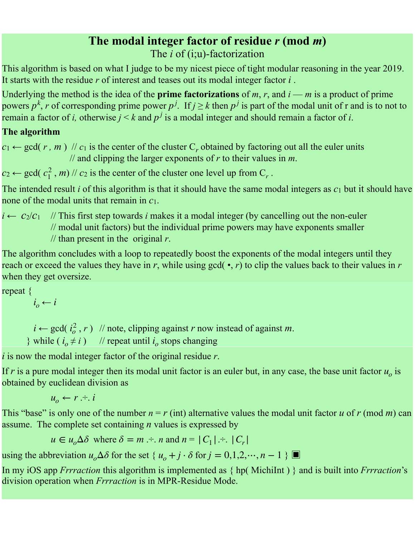## **The modal integer factor of residue** *r* **(mod** *m***)**  The *i* of (i;u)-factorization

This algorithm is based on what I judge to be my nicest piece of tight modular reasoning in the year 2019. It starts with the residue  $r$  of interest and teases out its modal integer factor  $i$ .

Underlying the method is the idea of the **prime factorizations** of  $m$ ,  $r$ , and  $i - m$  is a product of prime powers  $p^k$ , r of corresponding prime power  $p^j$ . If  $j \geq k$  then  $p^j$  is part of the modal unit of r and is to not to remain a factor of *i*, otherwise  $j < k$  and  $p<sup>j</sup>$  is a modal integer and should remain a factor of *i*.

## **The algorithm**

 $c_1 \leftarrow \text{gcd}(r, m)$  //  $c_1$  is the center of the cluster C<sub>r</sub> obtained by factoring out all the euler units // and clipping the larger exponents of *r* to their values in *m*.

 $c_2 \leftarrow \text{gcd}(c_1^2, m)$  //  $c_2$  is the center of the cluster one level up from  $C_r$ .

The intended result *i* of this algorithm is that it should have the same modal integers as *c*1 but it should have none of the modal units that remain in *c*1.

 $i \leftarrow c_2/c_1$  // This first step towards *i* makes it a modal integer (by cancelling out the non-euler // modal unit factors) but the individual prime powers may have exponents smaller // than present in the original *r*.

The algorithm concludes with a loop to repeatedly boost the exponents of the modal integers until they reach or exceed the values they have in  $r$ , while using gcd( $\cdot$ ,  $r$ ) to clip the values back to their values in  $r$ when they get oversize.

repeat {

*i i*<sub>*o*</sub> ← *i* 

 $i \leftarrow \text{gcd}(i_o^2, r)$  // note, clipping against *r* now instead of against *m*. *o*

while  $(i_o \neq i)$  // repeat until  $i_o$  stops changing

 $i$  is now the modal integer factor of the original residue  $r$ .

If  $r$  is a pure modal integer then its modal unit factor is an euler but, in any case, the base unit factor  $u<sub>o</sub>$  is obtained by euclidean division as

 $u_o \leftarrow r \div i$ 

This "base" is only one of the number  $n = r$  (int) alternative values the modal unit factor *u* of *r* (mod *m*) can assume. The complete set containing *n* values is expressed by

 $u \in u_o \Delta \delta$  where  $\delta = m \div n$  and  $n = |C_1| \div |C_r|$ 

using the abbreviation  $u_o \Delta \delta$  for the set {  $u_o + j \cdot \delta$  for  $j = 0,1,2,\dots, n-1$  }

In my iOS app *Frrraction* this algorithm is implemented as { hp( MichiInt ) } and is built into *Frrraction*'s division operation when *Frrraction* is in MPR-Residue Mode.